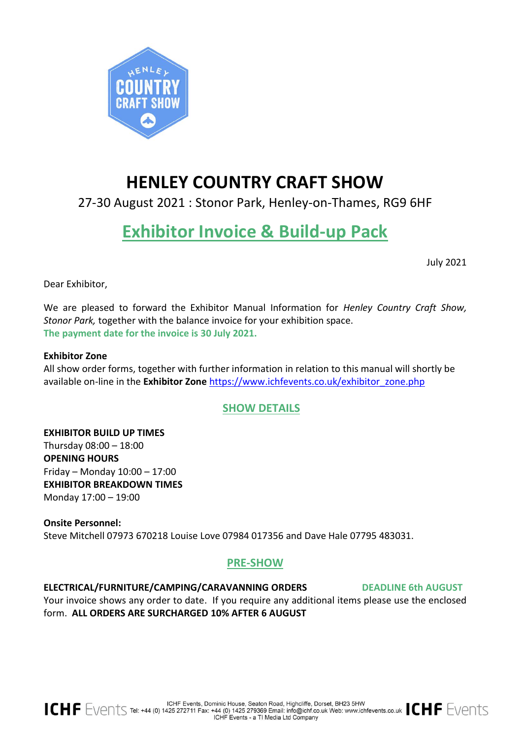

# **HENLEY COUNTRY CRAFT SHOW**

27-30 August 2021 : Stonor Park, Henley-on-Thames, RG9 6HF

# **Exhibitor Invoice & Build-up Pack**

July 2021

Dear Exhibitor,

We are pleased to forward the Exhibitor Manual Information for *Henley Country Craft Show, Stonor Park,* together with the balance invoice for your exhibition space. **The payment date for the invoice is 30 July 2021.**

# **Exhibitor Zone**

All show order forms, together with further information in relation to this manual will shortly be available on-line in the **Exhibitor Zone** [https://www.ichfevents.co.uk/exhibitor\\_zone.php](https://www.ichfevents.co.uk/exhibitor_zone.php)

# **SHOW DETAILS**

**EXHIBITOR BUILD UP TIMES** Thursday 08:00 – 18:00 **OPENING HOURS**  Friday – Monday 10:00 – 17:00 **EXHIBITOR BREAKDOWN TIMES** Monday 17:00 – 19:00

**Onsite Personnel:** Steve Mitchell 07973 670218 Louise Love 07984 017356 and Dave Hale 07795 483031.

# **PRE-SHOW**

**ELECTRICAL/FURNITURE/CAMPING/CARAVANNING ORDERS DEADLINE 6th AUGUST** Your invoice shows any order to date. If you require any additional items please use the enclosed form. **ALL ORDERS ARE SURCHARGED 10% AFTER 6 AUGUST**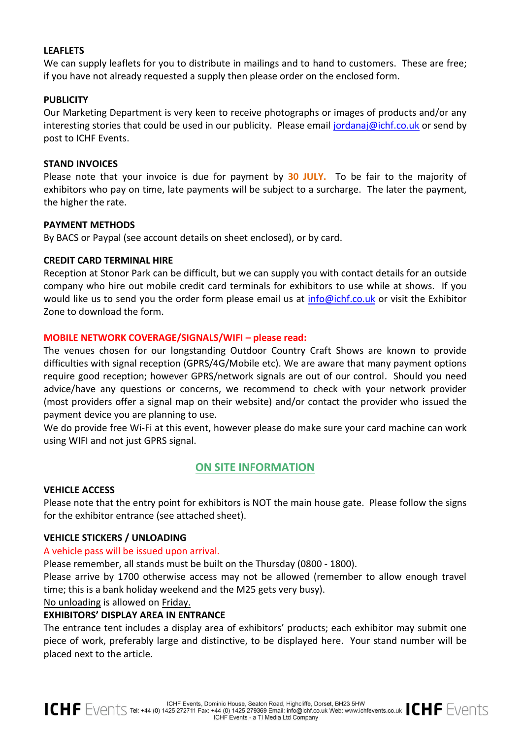# **LEAFLETS**

We can supply leaflets for you to distribute in mailings and to hand to customers. These are free; if you have not already requested a supply then please order on the enclosed form.

# **PUBLICITY**

Our Marketing Department is very keen to receive photographs or images of products and/or any interesting stories that could be used in our publicity. Please email [jordanaj@ichf.co.uk](mailto:jordanaj@ichf.co.uk) or send by post to ICHF Events.

## **STAND INVOICES**

Please note that your invoice is due for payment by **30 JULY.** To be fair to the majority of exhibitors who pay on time, late payments will be subject to a surcharge. The later the payment, the higher the rate.

# **PAYMENT METHODS**

By BACS or Paypal (see account details on sheet enclosed), or by card.

# **CREDIT CARD TERMINAL HIRE**

Reception at Stonor Park can be difficult, but we can supply you with contact details for an outside company who hire out mobile credit card terminals for exhibitors to use while at shows. If you would like us to send you the order form please email us at [info@ichf.co.uk](mailto:info@ichf.co.uk) or visit the Exhibitor Zone to download the form.

# **MOBILE NETWORK COVERAGE/SIGNALS/WIFI – please read:**

The venues chosen for our longstanding Outdoor Country Craft Shows are known to provide difficulties with signal reception (GPRS/4G/Mobile etc). We are aware that many payment options require good reception; however GPRS/network signals are out of our control. Should you need advice/have any questions or concerns, we recommend to check with your network provider (most providers offer a signal map on their website) and/or contact the provider who issued the payment device you are planning to use.

We do provide free Wi-Fi at this event, however please do make sure your card machine can work using WIFI and not just GPRS signal.

# **ON SITE INFORMATION**

## **VEHICLE ACCESS**

Please note that the entry point for exhibitors is NOT the main house gate. Please follow the signs for the exhibitor entrance (see attached sheet).

# **VEHICLE STICKERS / UNLOADING**

## A vehicle pass will be issued upon arrival.

Please remember, all stands must be built on the Thursday (0800 - 1800).

Please arrive by 1700 otherwise access may not be allowed (remember to allow enough travel time; this is a bank holiday weekend and the M25 gets very busy).

No unloading is allowed on Friday.

# **EXHIBITORS' DISPLAY AREA IN ENTRANCE**

The entrance tent includes a display area of exhibitors' products; each exhibitor may submit one piece of work, preferably large and distinctive, to be displayed here. Your stand number will be placed next to the article.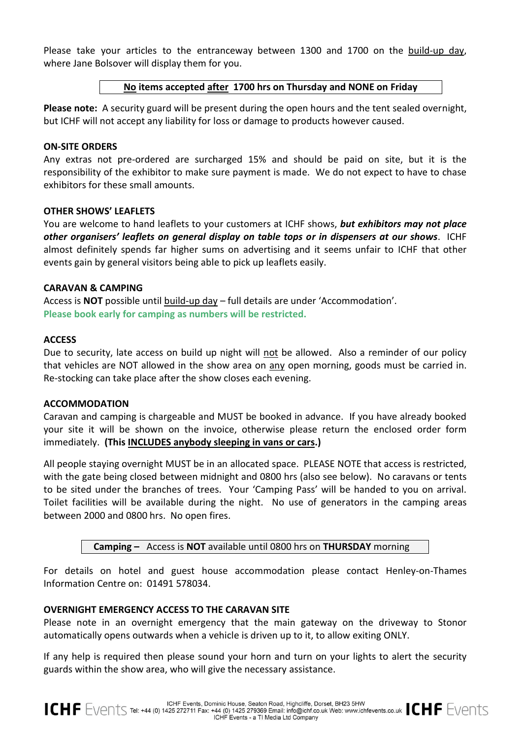Please take your articles to the entranceway between 1300 and 1700 on the build-up day, where Jane Bolsover will display them for you.

#### **No items accepted after 1700 hrs on Thursday and NONE on Friday**

**Please note:** A security guard will be present during the open hours and the tent sealed overnight, but ICHF will not accept any liability for loss or damage to products however caused.

#### **ON-SITE ORDERS**

Any extras not pre-ordered are surcharged 15% and should be paid on site, but it is the responsibility of the exhibitor to make sure payment is made. We do not expect to have to chase exhibitors for these small amounts.

## **OTHER SHOWS' LEAFLETS**

You are welcome to hand leaflets to your customers at ICHF shows, *but exhibitors may not place other organisers' leaflets on general display on table tops or in dispensers at our shows*. ICHF almost definitely spends far higher sums on advertising and it seems unfair to ICHF that other events gain by general visitors being able to pick up leaflets easily.

#### **CARAVAN & CAMPING**

Access is **NOT** possible until build-up day – full details are under 'Accommodation'. **Please book early for camping as numbers will be restricted.**

#### **ACCESS**

Due to security, late access on build up night will not be allowed. Also a reminder of our policy that vehicles are NOT allowed in the show area on any open morning, goods must be carried in. Re-stocking can take place after the show closes each evening.

#### **ACCOMMODATION**

Caravan and camping is chargeable and MUST be booked in advance. If you have already booked your site it will be shown on the invoice, otherwise please return the enclosed order form immediately. **(This INCLUDES anybody sleeping in vans or cars.)**

All people staying overnight MUST be in an allocated space. PLEASE NOTE that access is restricted, with the gate being closed between midnight and 0800 hrs (also see below). No caravans or tents to be sited under the branches of trees. Your 'Camping Pass' will be handed to you on arrival. Toilet facilities will be available during the night. No use of generators in the camping areas between 2000 and 0800 hrs. No open fires.

 **Camping –** Access is **NOT** available until 0800 hrs on **THURSDAY** morning

For details on hotel and guest house accommodation please contact Henley-on-Thames Information Centre on: 01491 578034.

# **OVERNIGHT EMERGENCY ACCESS TO THE CARAVAN SITE**

Please note in an overnight emergency that the main gateway on the driveway to Stonor automatically opens outwards when a vehicle is driven up to it, to allow exiting ONLY.

If any help is required then please sound your horn and turn on your lights to alert the security guards within the show area, who will give the necessary assistance.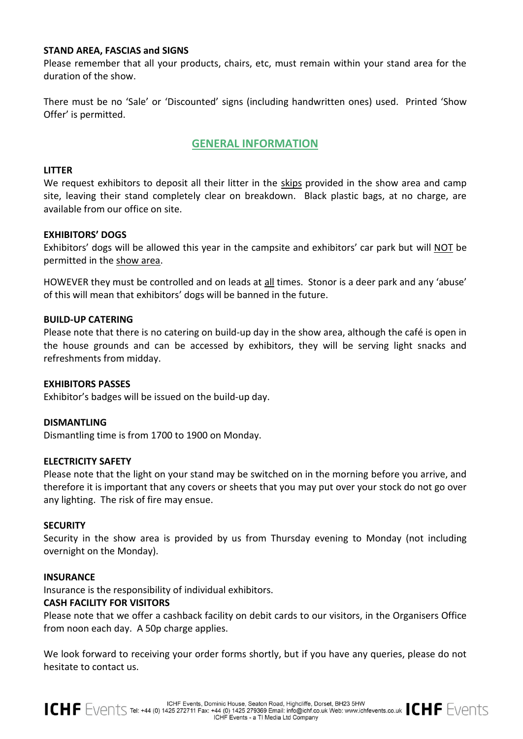# **STAND AREA, FASCIAS and SIGNS**

Please remember that all your products, chairs, etc, must remain within your stand area for the duration of the show.

There must be no 'Sale' or 'Discounted' signs (including handwritten ones) used. Printed 'Show Offer' is permitted.

# **GENERAL INFORMATION**

#### **LITTER**

We request exhibitors to deposit all their litter in the skips provided in the show area and camp site, leaving their stand completely clear on breakdown. Black plastic bags, at no charge, are available from our office on site.

#### **EXHIBITORS' DOGS**

Exhibitors' dogs will be allowed this year in the campsite and exhibitors' car park but will NOT be permitted in the show area.

HOWEVER they must be controlled and on leads at all times. Stonor is a deer park and any 'abuse' of this will mean that exhibitors' dogs will be banned in the future.

#### **BUILD-UP CATERING**

Please note that there is no catering on build-up day in the show area, although the café is open in the house grounds and can be accessed by exhibitors, they will be serving light snacks and refreshments from midday.

## **EXHIBITORS PASSES**

Exhibitor's badges will be issued on the build-up day.

#### **DISMANTLING**

Dismantling time is from 1700 to 1900 on Monday.

#### **ELECTRICITY SAFETY**

Please note that the light on your stand may be switched on in the morning before you arrive, and therefore it is important that any covers or sheets that you may put over your stock do not go over any lighting. The risk of fire may ensue.

#### **SECURITY**

Security in the show area is provided by us from Thursday evening to Monday (not including overnight on the Monday).

#### **INSURANCE**

Insurance is the responsibility of individual exhibitors.

#### **CASH FACILITY FOR VISITORS**

Please note that we offer a cashback facility on debit cards to our visitors, in the Organisers Office from noon each day. A 50p charge applies.

We look forward to receiving your order forms shortly, but if you have any queries, please do not hesitate to contact us.

ICHF Events, Dominic House, Seaton Road, Highcliffe, Dorset, BH23 5HW<br>ICHF EVENTS Tel: +44 (0) 1425 272711 Fax: +44 (0) 1425 279369 Email: info@ichf.co.uk Web: www.ichfevents.co.uk ICHF EVENTS ICHF Events - a TI Media Ltd Company